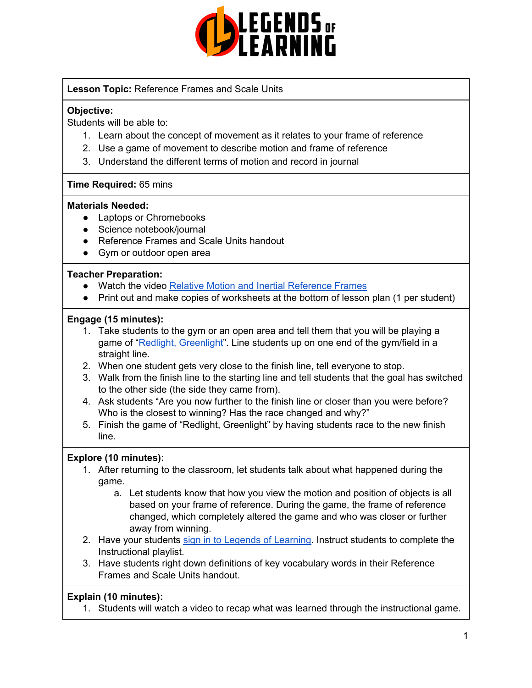

# **Lesson Topic:** Reference Frames and Scale Units

# **Objective:**

Students will be able to:

- 1. Learn about the concept of movement as it relates to your frame of reference
- 2. Use a game of movement to describe motion and frame of reference
- 3. Understand the different terms of motion and record in journal

# **Time Required:** 65 mins

# **Materials Needed:**

- Laptops or Chromebooks
- Science notebook/journal
- Reference Frames and Scale Units handout
- Gym or outdoor open area

# **Teacher Preparation:**

- Watch the video Relative Motion and Inertial [Reference](https://www.youtube.com/watch?v=wD7C4V9smG4) Frames
- Print out and make copies of worksheets at the bottom of lesson plan (1 per student)

# **Engage (15 minutes):**

- 1. Take students to the gym or an open area and tell them that you will be playing a game of "Redlight, [Greenlight](https://childhood101.com/games-for-kids-red-light-green-light/)". Line students up on one end of the gym/field in a straight line.
- 2. When one student gets very close to the finish line, tell everyone to stop.
- 3. Walk from the finish line to the starting line and tell students that the goal has switched to the other side (the side they came from).
- 4. Ask students "Are you now further to the finish line or closer than you were before? Who is the closest to winning? Has the race changed and why?"
- 5. Finish the game of "Redlight, Greenlight" by having students race to the new finish line.

# **Explore (10 minutes):**

- 1. After returning to the classroom, let students talk about what happened during the game.
	- a. Let students know that how you view the motion and position of objects is all based on your frame of reference. During the game, the frame of reference changed, which completely altered the game and who was closer or further away from winning.
- 2. Have your students sign in to Legends of [Learning](https://intercom.help/legends-of-learning/en/articles/2154920-students-joining-a-playlist). Instruct students to complete the Instructional playlist.
- 3. Have students right down definitions of key vocabulary words in their Reference Frames and Scale Units handout.

# **Explain (10 minutes):**

1. Students will watch a video to recap what was learned through the instructional game.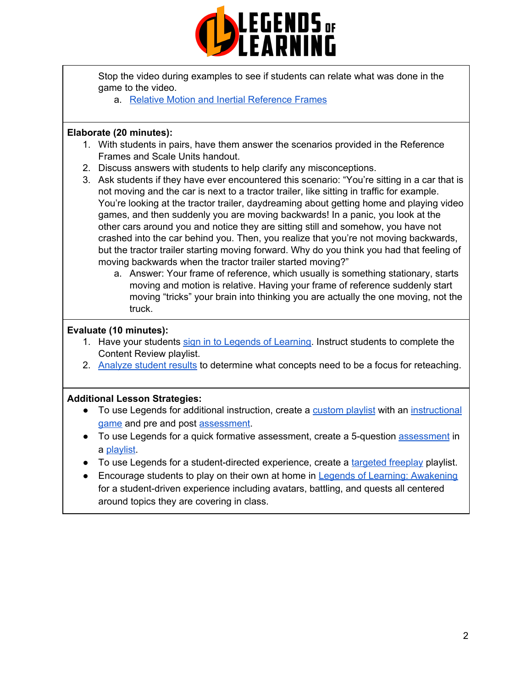

Stop the video during examples to see if students can relate what was done in the game to the video.

a. Relative Motion and Inertial [Reference](https://www.youtube.com/watch?v=wD7C4V9smG4) Frames

#### **Elaborate (20 minutes):**

- 1. With students in pairs, have them answer the scenarios provided in the Reference Frames and Scale Units handout.
- 2. Discuss answers with students to help clarify any misconceptions.
- 3. Ask students if they have ever encountered this scenario: "You're sitting in a car that is not moving and the car is next to a tractor trailer, like sitting in traffic for example. You're looking at the tractor trailer, daydreaming about getting home and playing video games, and then suddenly you are moving backwards! In a panic, you look at the other cars around you and notice they are sitting still and somehow, you have not crashed into the car behind you. Then, you realize that you're not moving backwards, but the tractor trailer starting moving forward. Why do you think you had that feeling of moving backwards when the tractor trailer started moving?"
	- a. Answer: Your frame of reference, which usually is something stationary, starts moving and motion is relative. Having your frame of reference suddenly start moving "tricks" your brain into thinking you are actually the one moving, not the truck.

#### **Evaluate (10 minutes):**

- 1. Have your students sign in to Legends of [Learning](https://intercom.help/legends-of-learning/en/articles/2154920-students-joining-a-playlist). Instruct students to complete the Content Review playlist.
- 2. [Analyze](https://intercom.help/legends-of-learning/en/articles/2154918-tracking-student-progress-and-performance) student results to determine what concepts need to be a focus for reteaching.

#### **Additional Lesson Strategies:**

- To use Legends for additional instruction, create a [custom](https://intercom.help/legends-of-learning/en/articles/2154910-creating-a-playlist) playlist with an [instructional](https://intercom.help/legends-of-learning/en/articles/3505828-types-of-games) [game](https://intercom.help/legends-of-learning/en/articles/3505828-types-of-games) and pre and post [assessment](https://intercom.help/legends-of-learning/en/articles/2154913-adding-assessments-to-a-playlist).
- To use Legends for a quick formative [assessment](https://intercom.help/legends-of-learning/en/articles/2154913-adding-assessments-to-a-playlist), create a 5-question assessment in a [playlist](https://intercom.help/legends-of-learning/en/articles/2154910-creating-a-playlist).
- To use Legends for a student-directed experience, create a [targeted](https://intercom.help/legends-of-learning/en/articles/3340814-targeted-freeplay) freeplay playlist.
- Encourage students to play on their own at home in Legends of Learning: [Awakening](https://intercom.help/legends-of-learning/en/articles/2425490-legends-of-learning-awakening) for a student-driven experience including avatars, battling, and quests all centered around topics they are covering in class.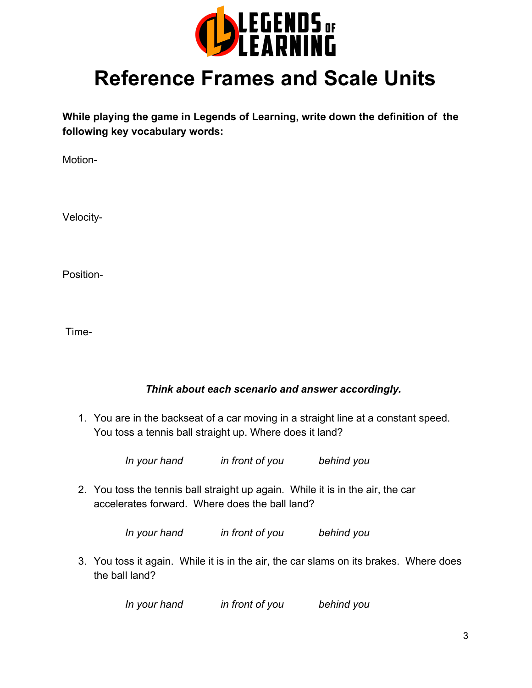

# **Reference Frames and Scale Units**

**While playing the game in Legends of Learning, write down the definition of the following key vocabulary words:**

Motion-

Velocity-

Position-

Time-

# *Think about each scenario and answer accordingly.*

1. You are in the backseat of a car moving in a straight line at a constant speed. You toss a tennis ball straight up. Where does it land?

*In your hand in front of you behind you*

2. You toss the tennis ball straight up again. While it is in the air, the car accelerates forward. Where does the ball land?

*In your hand in front of you behind you*

3. You toss it again. While it is in the air, the car slams on its brakes. Where does the ball land?

*In your hand in front of you behind you*